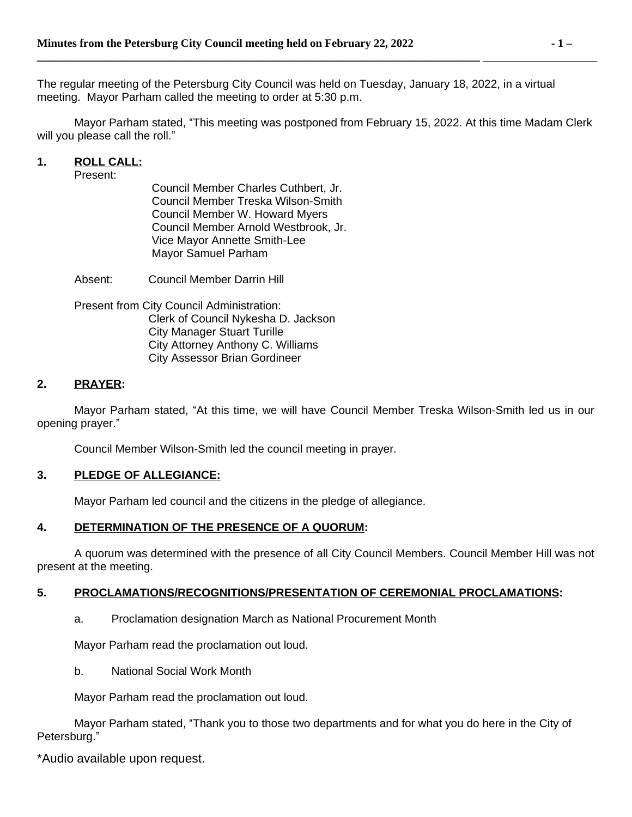The regular meeting of the Petersburg City Council was held on Tuesday, January 18, 2022, in a virtual meeting. Mayor Parham called the meeting to order at 5:30 p.m.

Mayor Parham stated, "This meeting was postponed from February 15, 2022. At this time Madam Clerk will you please call the roll."

### **1. ROLL CALL:**

Present:

Council Member Charles Cuthbert, Jr. Council Member Treska Wilson-Smith Council Member W. Howard Myers Council Member Arnold Westbrook, Jr. Vice Mayor Annette Smith-Lee Mayor Samuel Parham

Absent: Council Member Darrin Hill

Present from City Council Administration: Clerk of Council Nykesha D. Jackson City Manager Stuart Turille City Attorney Anthony C. Williams City Assessor Brian Gordineer

### **2. PRAYER:**

Mayor Parham stated, "At this time, we will have Council Member Treska Wilson-Smith led us in our opening prayer."

Council Member Wilson-Smith led the council meeting in prayer.

#### **3. PLEDGE OF ALLEGIANCE:**

Mayor Parham led council and the citizens in the pledge of allegiance.

### **4. DETERMINATION OF THE PRESENCE OF A QUORUM:**

A quorum was determined with the presence of all City Council Members. Council Member Hill was not present at the meeting.

#### **5. PROCLAMATIONS/RECOGNITIONS/PRESENTATION OF CEREMONIAL PROCLAMATIONS:**

a. Proclamation designation March as National Procurement Month

Mayor Parham read the proclamation out loud.

b. National Social Work Month

Mayor Parham read the proclamation out loud.

Mayor Parham stated, "Thank you to those two departments and for what you do here in the City of Petersburg."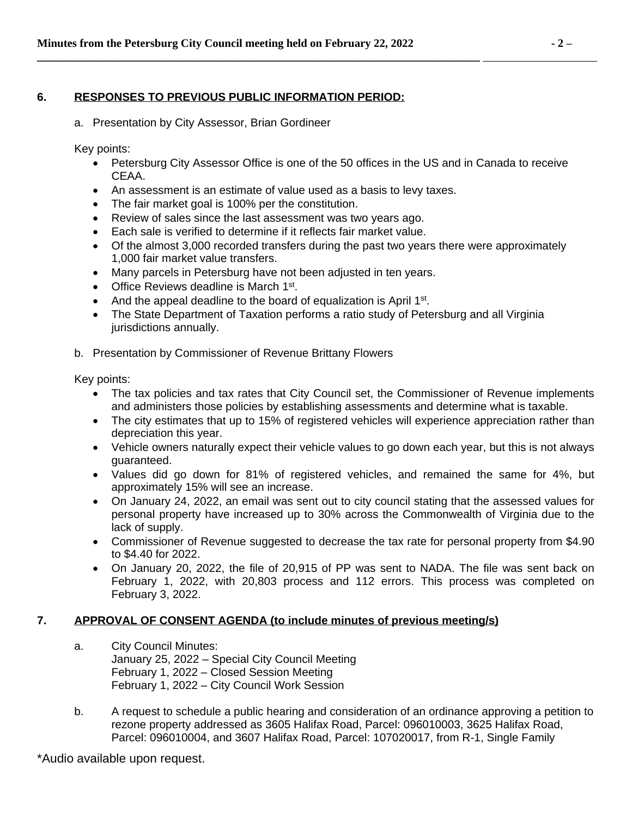# **6. RESPONSES TO PREVIOUS PUBLIC INFORMATION PERIOD:**

a. Presentation by City Assessor, Brian Gordineer

Key points:

- Petersburg City Assessor Office is one of the 50 offices in the US and in Canada to receive CEAA.
- An assessment is an estimate of value used as a basis to levy taxes.
- The fair market goal is 100% per the constitution.
- Review of sales since the last assessment was two years ago.

**\_\_\_\_\_\_\_\_\_\_\_\_\_\_\_\_\_\_\_\_\_\_\_\_\_\_\_\_\_\_\_\_\_\_\_\_\_\_\_\_\_\_\_\_\_\_\_\_\_\_\_\_\_\_\_\_\_\_\_\_\_\_\_\_\_\_\_\_\_\_\_\_\_\_\_\_\_\_** 

- Each sale is verified to determine if it reflects fair market value.
- Of the almost 3,000 recorded transfers during the past two years there were approximately 1,000 fair market value transfers.
- Many parcels in Petersburg have not been adjusted in ten years.
- Office Reviews deadline is March 1<sup>st</sup>.
- And the appeal deadline to the board of equalization is April 1<sup>st</sup>.
- The State Department of Taxation performs a ratio study of Petersburg and all Virginia jurisdictions annually.
- b. Presentation by Commissioner of Revenue Brittany Flowers

Key points:

- The tax policies and tax rates that City Council set, the Commissioner of Revenue implements and administers those policies by establishing assessments and determine what is taxable.
- The city estimates that up to 15% of registered vehicles will experience appreciation rather than depreciation this year.
- Vehicle owners naturally expect their vehicle values to go down each year, but this is not always guaranteed.
- Values did go down for 81% of registered vehicles, and remained the same for 4%, but approximately 15% will see an increase.
- On January 24, 2022, an email was sent out to city council stating that the assessed values for personal property have increased up to 30% across the Commonwealth of Virginia due to the lack of supply.
- Commissioner of Revenue suggested to decrease the tax rate for personal property from \$4.90 to \$4.40 for 2022.
- On January 20, 2022, the file of 20,915 of PP was sent to NADA. The file was sent back on February 1, 2022, with 20,803 process and 112 errors. This process was completed on February 3, 2022.

### **7. APPROVAL OF CONSENT AGENDA (to include minutes of previous meeting/s)**

- a. City Council Minutes: January 25, 2022 – Special City Council Meeting February 1, 2022 – Closed Session Meeting February 1, 2022 – City Council Work Session
- b. A request to schedule a public hearing and consideration of an ordinance approving a petition to rezone property addressed as 3605 Halifax Road, Parcel: 096010003, 3625 Halifax Road, Parcel: 096010004, and 3607 Halifax Road, Parcel: 107020017, from R-1, Single Family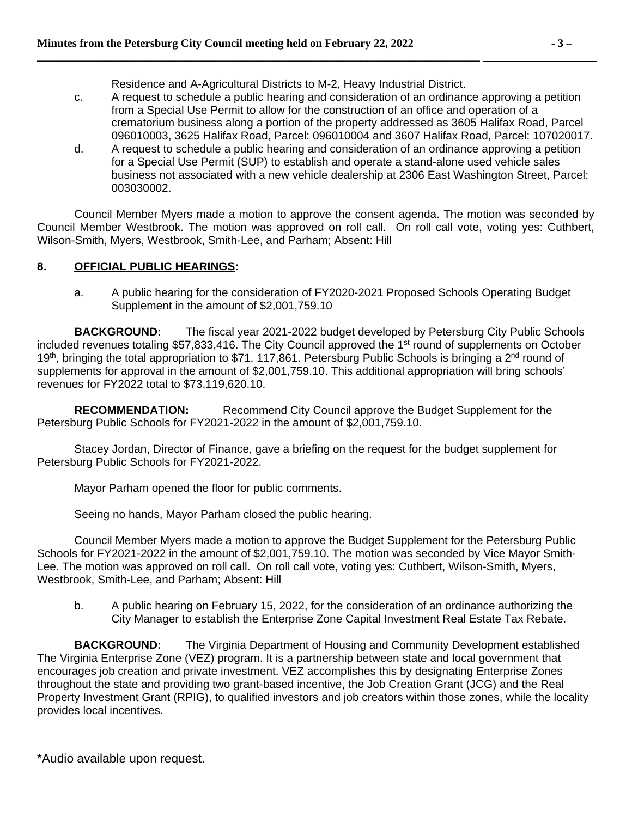Residence and A-Agricultural Districts to M-2, Heavy Industrial District.

**\_\_\_\_\_\_\_\_\_\_\_\_\_\_\_\_\_\_\_\_\_\_\_\_\_\_\_\_\_\_\_\_\_\_\_\_\_\_\_\_\_\_\_\_\_\_\_\_\_\_\_\_\_\_\_\_\_\_\_\_\_\_\_\_\_\_\_\_\_\_\_\_\_\_\_\_\_\_** 

- c. A request to schedule a public hearing and consideration of an ordinance approving a petition from a Special Use Permit to allow for the construction of an office and operation of a crematorium business along a portion of the property addressed as 3605 Halifax Road, Parcel 096010003, 3625 Halifax Road, Parcel: 096010004 and 3607 Halifax Road, Parcel: 107020017.
- d. A request to schedule a public hearing and consideration of an ordinance approving a petition for a Special Use Permit (SUP) to establish and operate a stand-alone used vehicle sales business not associated with a new vehicle dealership at 2306 East Washington Street, Parcel: 003030002.

Council Member Myers made a motion to approve the consent agenda. The motion was seconded by Council Member Westbrook. The motion was approved on roll call. On roll call vote, voting yes: Cuthbert, Wilson-Smith, Myers, Westbrook, Smith-Lee, and Parham; Absent: Hill

## **8. OFFICIAL PUBLIC HEARINGS:**

a. A public hearing for the consideration of FY2020-2021 Proposed Schools Operating Budget Supplement in the amount of \$2,001,759.10

**BACKGROUND:** The fiscal year 2021-2022 budget developed by Petersburg City Public Schools included revenues totaling \$57,833,416. The City Council approved the 1<sup>st</sup> round of supplements on October 19<sup>th</sup>, bringing the total appropriation to \$71, 117,861. Petersburg Public Schools is bringing a 2<sup>nd</sup> round of supplements for approval in the amount of \$2,001,759.10. This additional appropriation will bring schools' revenues for FY2022 total to \$73,119,620.10.

**RECOMMENDATION:** Recommend City Council approve the Budget Supplement for the Petersburg Public Schools for FY2021-2022 in the amount of \$2,001,759.10.

Stacey Jordan, Director of Finance, gave a briefing on the request for the budget supplement for Petersburg Public Schools for FY2021-2022.

Mayor Parham opened the floor for public comments.

Seeing no hands, Mayor Parham closed the public hearing.

Council Member Myers made a motion to approve the Budget Supplement for the Petersburg Public Schools for FY2021-2022 in the amount of \$2,001,759.10. The motion was seconded by Vice Mayor Smith-Lee. The motion was approved on roll call. On roll call vote, voting yes: Cuthbert, Wilson-Smith, Myers, Westbrook, Smith-Lee, and Parham; Absent: Hill

b. A public hearing on February 15, 2022, for the consideration of an ordinance authorizing the City Manager to establish the Enterprise Zone Capital Investment Real Estate Tax Rebate.

**BACKGROUND:** The Virginia Department of Housing and Community Development established The Virginia Enterprise Zone (VEZ) program. It is a partnership between state and local government that encourages job creation and private investment. VEZ accomplishes this by designating Enterprise Zones throughout the state and providing two grant-based incentive, the Job Creation Grant (JCG) and the Real Property Investment Grant (RPIG), to qualified investors and job creators within those zones, while the locality provides local incentives.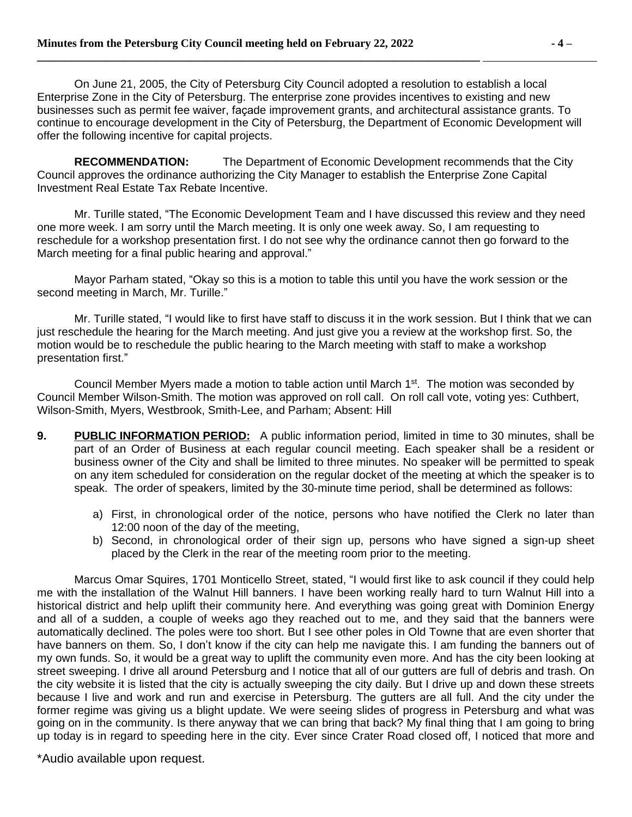On June 21, 2005, the City of Petersburg City Council adopted a resolution to establish a local Enterprise Zone in the City of Petersburg. The enterprise zone provides incentives to existing and new businesses such as permit fee waiver, façade improvement grants, and architectural assistance grants. To continue to encourage development in the City of Petersburg, the Department of Economic Development will offer the following incentive for capital projects.

**RECOMMENDATION:** The Department of Economic Development recommends that the City Council approves the ordinance authorizing the City Manager to establish the Enterprise Zone Capital Investment Real Estate Tax Rebate Incentive.

Mr. Turille stated, "The Economic Development Team and I have discussed this review and they need one more week. I am sorry until the March meeting. It is only one week away. So, I am requesting to reschedule for a workshop presentation first. I do not see why the ordinance cannot then go forward to the March meeting for a final public hearing and approval."

Mayor Parham stated, "Okay so this is a motion to table this until you have the work session or the second meeting in March, Mr. Turille."

Mr. Turille stated, "I would like to first have staff to discuss it in the work session. But I think that we can just reschedule the hearing for the March meeting. And just give you a review at the workshop first. So, the motion would be to reschedule the public hearing to the March meeting with staff to make a workshop presentation first."

Council Member Myers made a motion to table action until March 1<sup>st</sup>. The motion was seconded by Council Member Wilson-Smith. The motion was approved on roll call. On roll call vote, voting yes: Cuthbert, Wilson-Smith, Myers, Westbrook, Smith-Lee, and Parham; Absent: Hill

- **9. PUBLIC INFORMATION PERIOD:** A public information period, limited in time to 30 minutes, shall be part of an Order of Business at each regular council meeting. Each speaker shall be a resident or business owner of the City and shall be limited to three minutes. No speaker will be permitted to speak on any item scheduled for consideration on the regular docket of the meeting at which the speaker is to speak. The order of speakers, limited by the 30-minute time period, shall be determined as follows:
	- a) First, in chronological order of the notice, persons who have notified the Clerk no later than 12:00 noon of the day of the meeting,
	- b) Second, in chronological order of their sign up, persons who have signed a sign-up sheet placed by the Clerk in the rear of the meeting room prior to the meeting.

Marcus Omar Squires, 1701 Monticello Street, stated, "I would first like to ask council if they could help me with the installation of the Walnut Hill banners. I have been working really hard to turn Walnut Hill into a historical district and help uplift their community here. And everything was going great with Dominion Energy and all of a sudden, a couple of weeks ago they reached out to me, and they said that the banners were automatically declined. The poles were too short. But I see other poles in Old Towne that are even shorter that have banners on them. So, I don't know if the city can help me navigate this. I am funding the banners out of my own funds. So, it would be a great way to uplift the community even more. And has the city been looking at street sweeping. I drive all around Petersburg and I notice that all of our gutters are full of debris and trash. On the city website it is listed that the city is actually sweeping the city daily. But I drive up and down these streets because I live and work and run and exercise in Petersburg. The gutters are all full. And the city under the former regime was giving us a blight update. We were seeing slides of progress in Petersburg and what was going on in the community. Is there anyway that we can bring that back? My final thing that I am going to bring up today is in regard to speeding here in the city. Ever since Crater Road closed off, I noticed that more and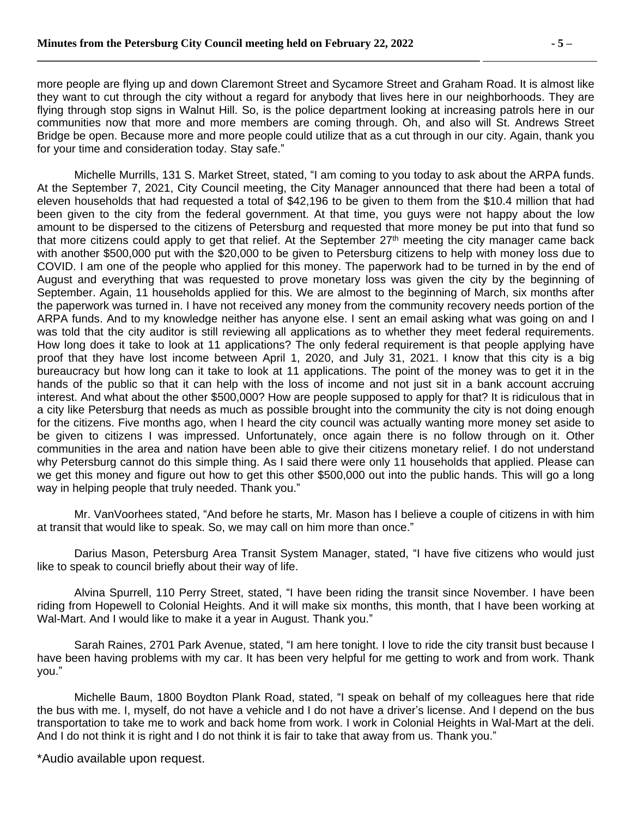more people are flying up and down Claremont Street and Sycamore Street and Graham Road. It is almost like they want to cut through the city without a regard for anybody that lives here in our neighborhoods. They are flying through stop signs in Walnut Hill. So, is the police department looking at increasing patrols here in our communities now that more and more members are coming through. Oh, and also will St. Andrews Street Bridge be open. Because more and more people could utilize that as a cut through in our city. Again, thank you for your time and consideration today. Stay safe."

Michelle Murrills, 131 S. Market Street, stated, "I am coming to you today to ask about the ARPA funds. At the September 7, 2021, City Council meeting, the City Manager announced that there had been a total of eleven households that had requested a total of \$42,196 to be given to them from the \$10.4 million that had been given to the city from the federal government. At that time, you guys were not happy about the low amount to be dispersed to the citizens of Petersburg and requested that more money be put into that fund so that more citizens could apply to get that relief. At the September 27<sup>th</sup> meeting the city manager came back with another \$500,000 put with the \$20,000 to be given to Petersburg citizens to help with money loss due to COVID. I am one of the people who applied for this money. The paperwork had to be turned in by the end of August and everything that was requested to prove monetary loss was given the city by the beginning of September. Again, 11 households applied for this. We are almost to the beginning of March, six months after the paperwork was turned in. I have not received any money from the community recovery needs portion of the ARPA funds. And to my knowledge neither has anyone else. I sent an email asking what was going on and I was told that the city auditor is still reviewing all applications as to whether they meet federal requirements. How long does it take to look at 11 applications? The only federal requirement is that people applying have proof that they have lost income between April 1, 2020, and July 31, 2021. I know that this city is a big bureaucracy but how long can it take to look at 11 applications. The point of the money was to get it in the hands of the public so that it can help with the loss of income and not just sit in a bank account accruing interest. And what about the other \$500,000? How are people supposed to apply for that? It is ridiculous that in a city like Petersburg that needs as much as possible brought into the community the city is not doing enough for the citizens. Five months ago, when I heard the city council was actually wanting more money set aside to be given to citizens I was impressed. Unfortunately, once again there is no follow through on it. Other communities in the area and nation have been able to give their citizens monetary relief. I do not understand why Petersburg cannot do this simple thing. As I said there were only 11 households that applied. Please can we get this money and figure out how to get this other \$500,000 out into the public hands. This will go a long way in helping people that truly needed. Thank you."

Mr. VanVoorhees stated, "And before he starts, Mr. Mason has I believe a couple of citizens in with him at transit that would like to speak. So, we may call on him more than once."

Darius Mason, Petersburg Area Transit System Manager, stated, "I have five citizens who would just like to speak to council briefly about their way of life.

Alvina Spurrell, 110 Perry Street, stated, "I have been riding the transit since November. I have been riding from Hopewell to Colonial Heights. And it will make six months, this month, that I have been working at Wal-Mart. And I would like to make it a year in August. Thank you."

Sarah Raines, 2701 Park Avenue, stated, "I am here tonight. I love to ride the city transit bust because I have been having problems with my car. It has been very helpful for me getting to work and from work. Thank you."

Michelle Baum, 1800 Boydton Plank Road, stated, "I speak on behalf of my colleagues here that ride the bus with me. I, myself, do not have a vehicle and I do not have a driver's license. And I depend on the bus transportation to take me to work and back home from work. I work in Colonial Heights in Wal-Mart at the deli. And I do not think it is right and I do not think it is fair to take that away from us. Thank you."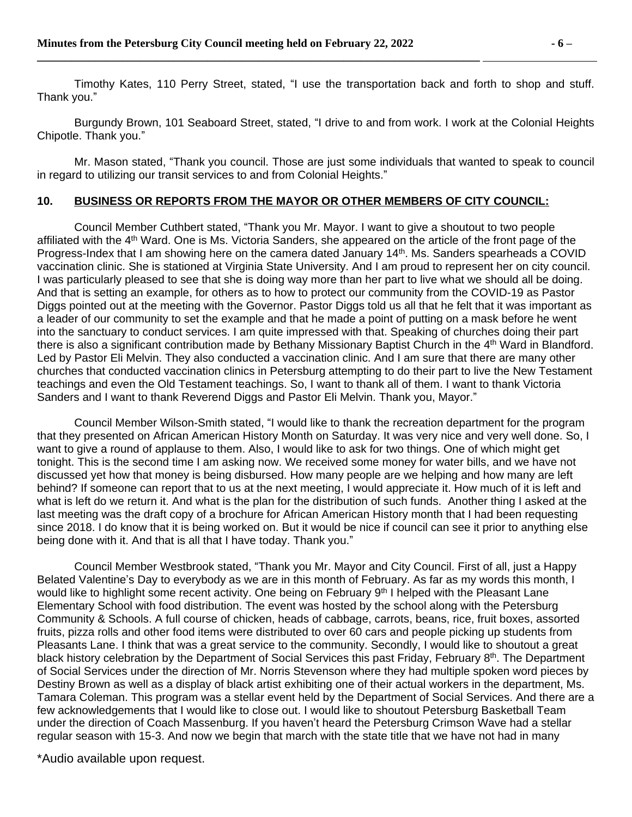Timothy Kates, 110 Perry Street, stated, "I use the transportation back and forth to shop and stuff. Thank you."

Burgundy Brown, 101 Seaboard Street, stated, "I drive to and from work. I work at the Colonial Heights Chipotle. Thank you."

Mr. Mason stated, "Thank you council. Those are just some individuals that wanted to speak to council in regard to utilizing our transit services to and from Colonial Heights."

#### **10. BUSINESS OR REPORTS FROM THE MAYOR OR OTHER MEMBERS OF CITY COUNCIL:**

Council Member Cuthbert stated, "Thank you Mr. Mayor. I want to give a shoutout to two people affiliated with the 4<sup>th</sup> Ward. One is Ms. Victoria Sanders, she appeared on the article of the front page of the Progress-Index that I am showing here on the camera dated January 14th. Ms. Sanders spearheads a COVID vaccination clinic. She is stationed at Virginia State University. And I am proud to represent her on city council. I was particularly pleased to see that she is doing way more than her part to live what we should all be doing. And that is setting an example, for others as to how to protect our community from the COVID-19 as Pastor Diggs pointed out at the meeting with the Governor. Pastor Diggs told us all that he felt that it was important as a leader of our community to set the example and that he made a point of putting on a mask before he went into the sanctuary to conduct services. I am quite impressed with that. Speaking of churches doing their part there is also a significant contribution made by Bethany Missionary Baptist Church in the 4th Ward in Blandford. Led by Pastor Eli Melvin. They also conducted a vaccination clinic. And I am sure that there are many other churches that conducted vaccination clinics in Petersburg attempting to do their part to live the New Testament teachings and even the Old Testament teachings. So, I want to thank all of them. I want to thank Victoria Sanders and I want to thank Reverend Diggs and Pastor Eli Melvin. Thank you, Mayor."

Council Member Wilson-Smith stated, "I would like to thank the recreation department for the program that they presented on African American History Month on Saturday. It was very nice and very well done. So, I want to give a round of applause to them. Also, I would like to ask for two things. One of which might get tonight. This is the second time I am asking now. We received some money for water bills, and we have not discussed yet how that money is being disbursed. How many people are we helping and how many are left behind? If someone can report that to us at the next meeting, I would appreciate it. How much of it is left and what is left do we return it. And what is the plan for the distribution of such funds. Another thing I asked at the last meeting was the draft copy of a brochure for African American History month that I had been requesting since 2018. I do know that it is being worked on. But it would be nice if council can see it prior to anything else being done with it. And that is all that I have today. Thank you."

Council Member Westbrook stated, "Thank you Mr. Mayor and City Council. First of all, just a Happy Belated Valentine's Day to everybody as we are in this month of February. As far as my words this month, I would like to highlight some recent activity. One being on February 9th I helped with the Pleasant Lane Elementary School with food distribution. The event was hosted by the school along with the Petersburg Community & Schools. A full course of chicken, heads of cabbage, carrots, beans, rice, fruit boxes, assorted fruits, pizza rolls and other food items were distributed to over 60 cars and people picking up students from Pleasants Lane. I think that was a great service to the community. Secondly, I would like to shoutout a great black history celebration by the Department of Social Services this past Friday, February 8<sup>th</sup>. The Department of Social Services under the direction of Mr. Norris Stevenson where they had multiple spoken word pieces by Destiny Brown as well as a display of black artist exhibiting one of their actual workers in the department, Ms. Tamara Coleman. This program was a stellar event held by the Department of Social Services. And there are a few acknowledgements that I would like to close out. I would like to shoutout Petersburg Basketball Team under the direction of Coach Massenburg. If you haven't heard the Petersburg Crimson Wave had a stellar regular season with 15-3. And now we begin that march with the state title that we have not had in many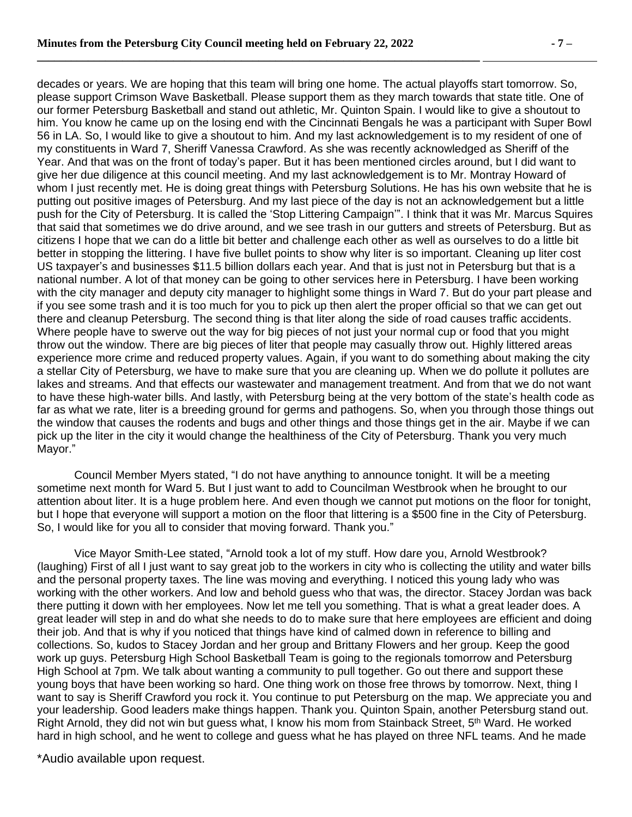decades or years. We are hoping that this team will bring one home. The actual playoffs start tomorrow. So, please support Crimson Wave Basketball. Please support them as they march towards that state title. One of our former Petersburg Basketball and stand out athletic, Mr. Quinton Spain. I would like to give a shoutout to him. You know he came up on the losing end with the Cincinnati Bengals he was a participant with Super Bowl 56 in LA. So, I would like to give a shoutout to him. And my last acknowledgement is to my resident of one of my constituents in Ward 7, Sheriff Vanessa Crawford. As she was recently acknowledged as Sheriff of the Year. And that was on the front of today's paper. But it has been mentioned circles around, but I did want to give her due diligence at this council meeting. And my last acknowledgement is to Mr. Montray Howard of whom I just recently met. He is doing great things with Petersburg Solutions. He has his own website that he is putting out positive images of Petersburg. And my last piece of the day is not an acknowledgement but a little push for the City of Petersburg. It is called the 'Stop Littering Campaign'". I think that it was Mr. Marcus Squires that said that sometimes we do drive around, and we see trash in our gutters and streets of Petersburg. But as citizens I hope that we can do a little bit better and challenge each other as well as ourselves to do a little bit better in stopping the littering. I have five bullet points to show why liter is so important. Cleaning up liter cost US taxpayer's and businesses \$11.5 billion dollars each year. And that is just not in Petersburg but that is a national number. A lot of that money can be going to other services here in Petersburg. I have been working with the city manager and deputy city manager to highlight some things in Ward 7. But do your part please and if you see some trash and it is too much for you to pick up then alert the proper official so that we can get out there and cleanup Petersburg. The second thing is that liter along the side of road causes traffic accidents. Where people have to swerve out the way for big pieces of not just your normal cup or food that you might throw out the window. There are big pieces of liter that people may casually throw out. Highly littered areas experience more crime and reduced property values. Again, if you want to do something about making the city a stellar City of Petersburg, we have to make sure that you are cleaning up. When we do pollute it pollutes are lakes and streams. And that effects our wastewater and management treatment. And from that we do not want to have these high-water bills. And lastly, with Petersburg being at the very bottom of the state's health code as far as what we rate, liter is a breeding ground for germs and pathogens. So, when you through those things out the window that causes the rodents and bugs and other things and those things get in the air. Maybe if we can pick up the liter in the city it would change the healthiness of the City of Petersburg. Thank you very much Mayor."

Council Member Myers stated, "I do not have anything to announce tonight. It will be a meeting sometime next month for Ward 5. But I just want to add to Councilman Westbrook when he brought to our attention about liter. It is a huge problem here. And even though we cannot put motions on the floor for tonight, but I hope that everyone will support a motion on the floor that littering is a \$500 fine in the City of Petersburg. So, I would like for you all to consider that moving forward. Thank you."

Vice Mayor Smith-Lee stated, "Arnold took a lot of my stuff. How dare you, Arnold Westbrook? (laughing) First of all I just want to say great job to the workers in city who is collecting the utility and water bills and the personal property taxes. The line was moving and everything. I noticed this young lady who was working with the other workers. And low and behold guess who that was, the director. Stacey Jordan was back there putting it down with her employees. Now let me tell you something. That is what a great leader does. A great leader will step in and do what she needs to do to make sure that here employees are efficient and doing their job. And that is why if you noticed that things have kind of calmed down in reference to billing and collections. So, kudos to Stacey Jordan and her group and Brittany Flowers and her group. Keep the good work up guys. Petersburg High School Basketball Team is going to the regionals tomorrow and Petersburg High School at 7pm. We talk about wanting a community to pull together. Go out there and support these young boys that have been working so hard. One thing work on those free throws by tomorrow. Next, thing I want to say is Sheriff Crawford you rock it. You continue to put Petersburg on the map. We appreciate you and your leadership. Good leaders make things happen. Thank you. Quinton Spain, another Petersburg stand out. Right Arnold, they did not win but guess what, I know his mom from Stainback Street, 5<sup>th</sup> Ward. He worked hard in high school, and he went to college and guess what he has played on three NFL teams. And he made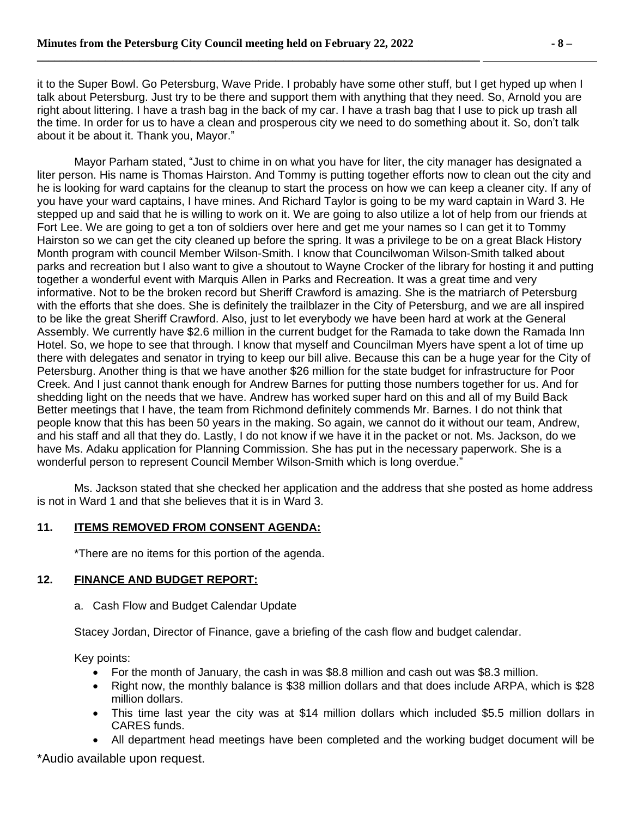it to the Super Bowl. Go Petersburg, Wave Pride. I probably have some other stuff, but I get hyped up when I talk about Petersburg. Just try to be there and support them with anything that they need. So, Arnold you are right about littering. I have a trash bag in the back of my car. I have a trash bag that I use to pick up trash all the time. In order for us to have a clean and prosperous city we need to do something about it. So, don't talk about it be about it. Thank you, Mayor."

Mayor Parham stated, "Just to chime in on what you have for liter, the city manager has designated a liter person. His name is Thomas Hairston. And Tommy is putting together efforts now to clean out the city and he is looking for ward captains for the cleanup to start the process on how we can keep a cleaner city. If any of you have your ward captains, I have mines. And Richard Taylor is going to be my ward captain in Ward 3. He stepped up and said that he is willing to work on it. We are going to also utilize a lot of help from our friends at Fort Lee. We are going to get a ton of soldiers over here and get me your names so I can get it to Tommy Hairston so we can get the city cleaned up before the spring. It was a privilege to be on a great Black History Month program with council Member Wilson-Smith. I know that Councilwoman Wilson-Smith talked about parks and recreation but I also want to give a shoutout to Wayne Crocker of the library for hosting it and putting together a wonderful event with Marquis Allen in Parks and Recreation. It was a great time and very informative. Not to be the broken record but Sheriff Crawford is amazing. She is the matriarch of Petersburg with the efforts that she does. She is definitely the trailblazer in the City of Petersburg, and we are all inspired to be like the great Sheriff Crawford. Also, just to let everybody we have been hard at work at the General Assembly. We currently have \$2.6 million in the current budget for the Ramada to take down the Ramada Inn Hotel. So, we hope to see that through. I know that myself and Councilman Myers have spent a lot of time up there with delegates and senator in trying to keep our bill alive. Because this can be a huge year for the City of Petersburg. Another thing is that we have another \$26 million for the state budget for infrastructure for Poor Creek. And I just cannot thank enough for Andrew Barnes for putting those numbers together for us. And for shedding light on the needs that we have. Andrew has worked super hard on this and all of my Build Back Better meetings that I have, the team from Richmond definitely commends Mr. Barnes. I do not think that people know that this has been 50 years in the making. So again, we cannot do it without our team, Andrew, and his staff and all that they do. Lastly, I do not know if we have it in the packet or not. Ms. Jackson, do we have Ms. Adaku application for Planning Commission. She has put in the necessary paperwork. She is a wonderful person to represent Council Member Wilson-Smith which is long overdue."

Ms. Jackson stated that she checked her application and the address that she posted as home address is not in Ward 1 and that she believes that it is in Ward 3.

# **11. ITEMS REMOVED FROM CONSENT AGENDA:**

\*There are no items for this portion of the agenda.

## **12. FINANCE AND BUDGET REPORT:**

a. Cash Flow and Budget Calendar Update

Stacey Jordan, Director of Finance, gave a briefing of the cash flow and budget calendar.

Key points:

- For the month of January, the cash in was \$8.8 million and cash out was \$8.3 million.
- Right now, the monthly balance is \$38 million dollars and that does include ARPA, which is \$28 million dollars.
- This time last year the city was at \$14 million dollars which included \$5.5 million dollars in CARES funds.
- All department head meetings have been completed and the working budget document will be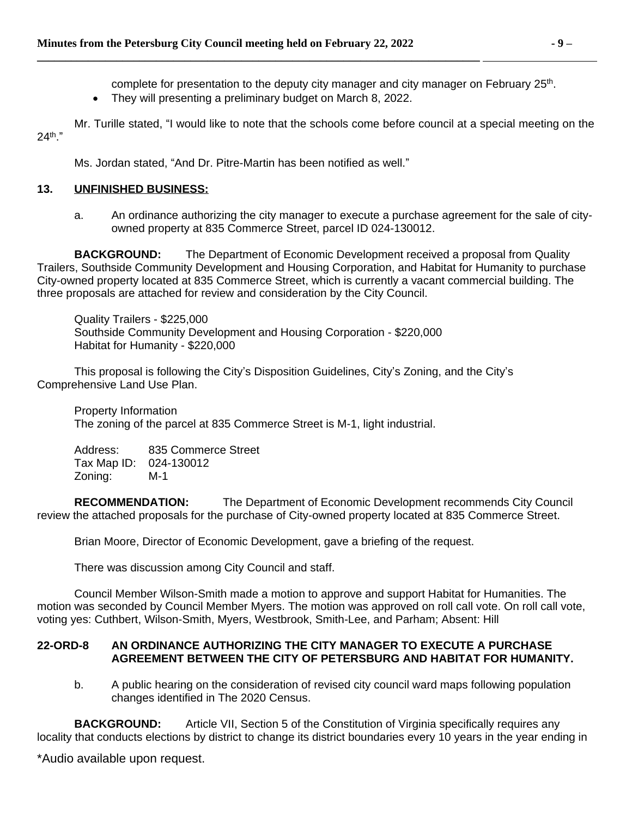complete for presentation to the deputy city manager and city manager on February 25<sup>th</sup>.

• They will presenting a preliminary budget on March 8, 2022.

**\_\_\_\_\_\_\_\_\_\_\_\_\_\_\_\_\_\_\_\_\_\_\_\_\_\_\_\_\_\_\_\_\_\_\_\_\_\_\_\_\_\_\_\_\_\_\_\_\_\_\_\_\_\_\_\_\_\_\_\_\_\_\_\_\_\_\_\_\_\_\_\_\_\_\_\_\_\_** 

Mr. Turille stated, "I would like to note that the schools come before council at a special meeting on the 24th ."

Ms. Jordan stated, "And Dr. Pitre-Martin has been notified as well."

## **13. UNFINISHED BUSINESS:**

a. An ordinance authorizing the city manager to execute a purchase agreement for the sale of cityowned property at 835 Commerce Street, parcel ID 024-130012.

**BACKGROUND:** The Department of Economic Development received a proposal from Quality Trailers, Southside Community Development and Housing Corporation, and Habitat for Humanity to purchase City-owned property located at 835 Commerce Street, which is currently a vacant commercial building. The three proposals are attached for review and consideration by the City Council.

Quality Trailers - \$225,000 Southside Community Development and Housing Corporation - \$220,000 Habitat for Humanity - \$220,000

This proposal is following the City's Disposition Guidelines, City's Zoning, and the City's Comprehensive Land Use Plan.

Property Information The zoning of the parcel at 835 Commerce Street is M-1, light industrial.

Address: 835 Commerce Street Tax Map ID: 024-130012 Zoning: M-1

**RECOMMENDATION:** The Department of Economic Development recommends City Council review the attached proposals for the purchase of City-owned property located at 835 Commerce Street.

Brian Moore, Director of Economic Development, gave a briefing of the request.

There was discussion among City Council and staff.

Council Member Wilson-Smith made a motion to approve and support Habitat for Humanities. The motion was seconded by Council Member Myers. The motion was approved on roll call vote. On roll call vote, voting yes: Cuthbert, Wilson-Smith, Myers, Westbrook, Smith-Lee, and Parham; Absent: Hill

### **22-ORD-8 AN ORDINANCE AUTHORIZING THE CITY MANAGER TO EXECUTE A PURCHASE AGREEMENT BETWEEN THE CITY OF PETERSBURG AND HABITAT FOR HUMANITY.**

b. A public hearing on the consideration of revised city council ward maps following population changes identified in The 2020 Census.

**BACKGROUND:** Article VII, Section 5 of the Constitution of Virginia specifically requires any locality that conducts elections by district to change its district boundaries every 10 years in the year ending in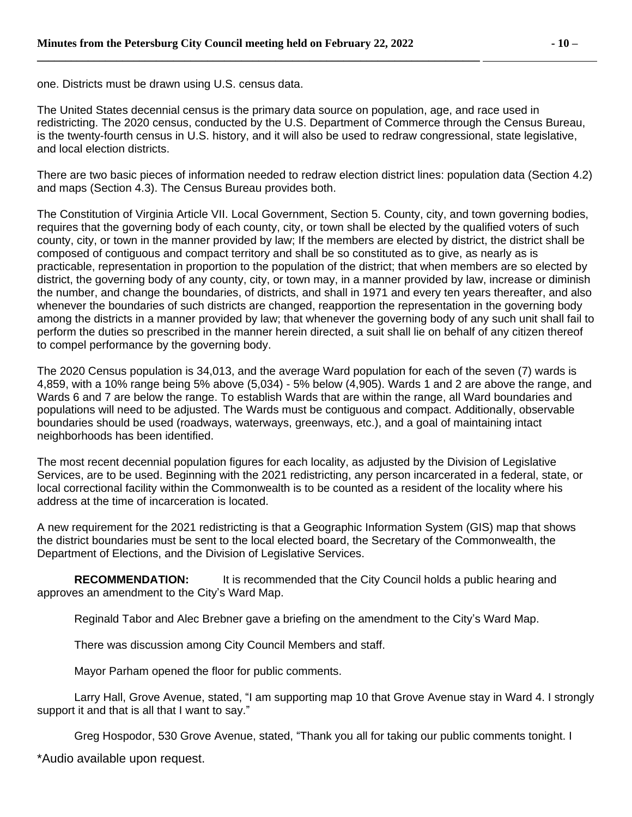one. Districts must be drawn using U.S. census data.

The United States decennial census is the primary data source on population, age, and race used in redistricting. The 2020 census, conducted by the U.S. Department of Commerce through the Census Bureau, is the twenty-fourth census in U.S. history, and it will also be used to redraw congressional, state legislative, and local election districts.

There are two basic pieces of information needed to redraw election district lines: population data (Section 4.2) and maps (Section 4.3). The Census Bureau provides both.

The Constitution of Virginia Article VII. Local Government, Section 5. County, city, and town governing bodies, requires that the governing body of each county, city, or town shall be elected by the qualified voters of such county, city, or town in the manner provided by law; If the members are elected by district, the district shall be composed of contiguous and compact territory and shall be so constituted as to give, as nearly as is practicable, representation in proportion to the population of the district; that when members are so elected by district, the governing body of any county, city, or town may, in a manner provided by law, increase or diminish the number, and change the boundaries, of districts, and shall in 1971 and every ten years thereafter, and also whenever the boundaries of such districts are changed, reapportion the representation in the governing body among the districts in a manner provided by law; that whenever the governing body of any such unit shall fail to perform the duties so prescribed in the manner herein directed, a suit shall lie on behalf of any citizen thereof to compel performance by the governing body.

The 2020 Census population is 34,013, and the average Ward population for each of the seven (7) wards is 4,859, with a 10% range being 5% above (5,034) - 5% below (4,905). Wards 1 and 2 are above the range, and Wards 6 and 7 are below the range. To establish Wards that are within the range, all Ward boundaries and populations will need to be adjusted. The Wards must be contiguous and compact. Additionally, observable boundaries should be used (roadways, waterways, greenways, etc.), and a goal of maintaining intact neighborhoods has been identified.

The most recent decennial population figures for each locality, as adjusted by the Division of Legislative Services, are to be used. Beginning with the 2021 redistricting, any person incarcerated in a federal, state, or local correctional facility within the Commonwealth is to be counted as a resident of the locality where his address at the time of incarceration is located.

A new requirement for the 2021 redistricting is that a Geographic Information System (GIS) map that shows the district boundaries must be sent to the local elected board, the Secretary of the Commonwealth, the Department of Elections, and the Division of Legislative Services.

**RECOMMENDATION:** It is recommended that the City Council holds a public hearing and approves an amendment to the City's Ward Map.

Reginald Tabor and Alec Brebner gave a briefing on the amendment to the City's Ward Map.

There was discussion among City Council Members and staff.

Mayor Parham opened the floor for public comments.

Larry Hall, Grove Avenue, stated, "I am supporting map 10 that Grove Avenue stay in Ward 4. I strongly support it and that is all that I want to say."

Greg Hospodor, 530 Grove Avenue, stated, "Thank you all for taking our public comments tonight. I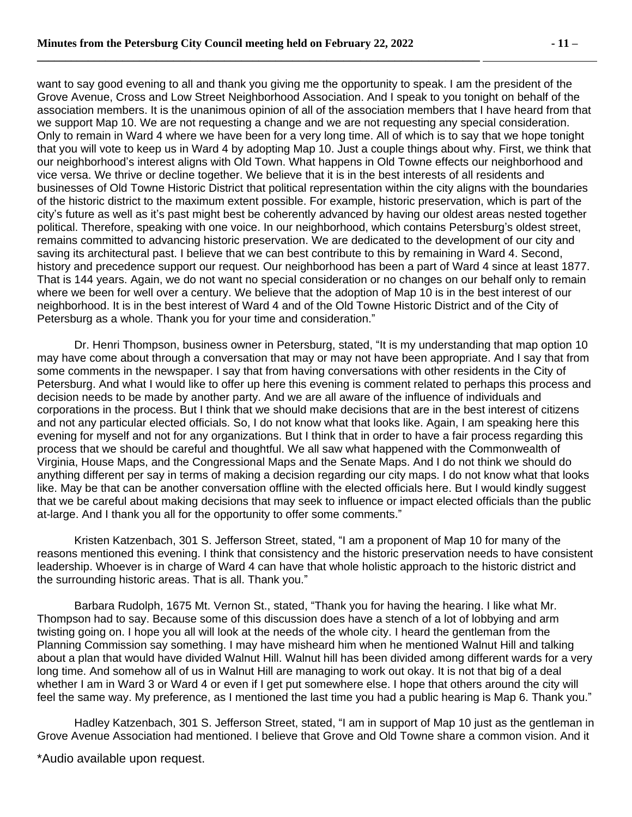want to say good evening to all and thank you giving me the opportunity to speak. I am the president of the Grove Avenue, Cross and Low Street Neighborhood Association. And I speak to you tonight on behalf of the association members. It is the unanimous opinion of all of the association members that I have heard from that we support Map 10. We are not requesting a change and we are not requesting any special consideration. Only to remain in Ward 4 where we have been for a very long time. All of which is to say that we hope tonight that you will vote to keep us in Ward 4 by adopting Map 10. Just a couple things about why. First, we think that our neighborhood's interest aligns with Old Town. What happens in Old Towne effects our neighborhood and vice versa. We thrive or decline together. We believe that it is in the best interests of all residents and businesses of Old Towne Historic District that political representation within the city aligns with the boundaries of the historic district to the maximum extent possible. For example, historic preservation, which is part of the city's future as well as it's past might best be coherently advanced by having our oldest areas nested together political. Therefore, speaking with one voice. In our neighborhood, which contains Petersburg's oldest street, remains committed to advancing historic preservation. We are dedicated to the development of our city and saving its architectural past. I believe that we can best contribute to this by remaining in Ward 4. Second, history and precedence support our request. Our neighborhood has been a part of Ward 4 since at least 1877. That is 144 years. Again, we do not want no special consideration or no changes on our behalf only to remain where we been for well over a century. We believe that the adoption of Map 10 is in the best interest of our neighborhood. It is in the best interest of Ward 4 and of the Old Towne Historic District and of the City of Petersburg as a whole. Thank you for your time and consideration."

Dr. Henri Thompson, business owner in Petersburg, stated, "It is my understanding that map option 10 may have come about through a conversation that may or may not have been appropriate. And I say that from some comments in the newspaper. I say that from having conversations with other residents in the City of Petersburg. And what I would like to offer up here this evening is comment related to perhaps this process and decision needs to be made by another party. And we are all aware of the influence of individuals and corporations in the process. But I think that we should make decisions that are in the best interest of citizens and not any particular elected officials. So, I do not know what that looks like. Again, I am speaking here this evening for myself and not for any organizations. But I think that in order to have a fair process regarding this process that we should be careful and thoughtful. We all saw what happened with the Commonwealth of Virginia, House Maps, and the Congressional Maps and the Senate Maps. And I do not think we should do anything different per say in terms of making a decision regarding our city maps. I do not know what that looks like. May be that can be another conversation offline with the elected officials here. But I would kindly suggest that we be careful about making decisions that may seek to influence or impact elected officials than the public at-large. And I thank you all for the opportunity to offer some comments."

Kristen Katzenbach, 301 S. Jefferson Street, stated, "I am a proponent of Map 10 for many of the reasons mentioned this evening. I think that consistency and the historic preservation needs to have consistent leadership. Whoever is in charge of Ward 4 can have that whole holistic approach to the historic district and the surrounding historic areas. That is all. Thank you."

Barbara Rudolph, 1675 Mt. Vernon St., stated, "Thank you for having the hearing. I like what Mr. Thompson had to say. Because some of this discussion does have a stench of a lot of lobbying and arm twisting going on. I hope you all will look at the needs of the whole city. I heard the gentleman from the Planning Commission say something. I may have misheard him when he mentioned Walnut Hill and talking about a plan that would have divided Walnut Hill. Walnut hill has been divided among different wards for a very long time. And somehow all of us in Walnut Hill are managing to work out okay. It is not that big of a deal whether I am in Ward 3 or Ward 4 or even if I get put somewhere else. I hope that others around the city will feel the same way. My preference, as I mentioned the last time you had a public hearing is Map 6. Thank you."

Hadley Katzenbach, 301 S. Jefferson Street, stated, "I am in support of Map 10 just as the gentleman in Grove Avenue Association had mentioned. I believe that Grove and Old Towne share a common vision. And it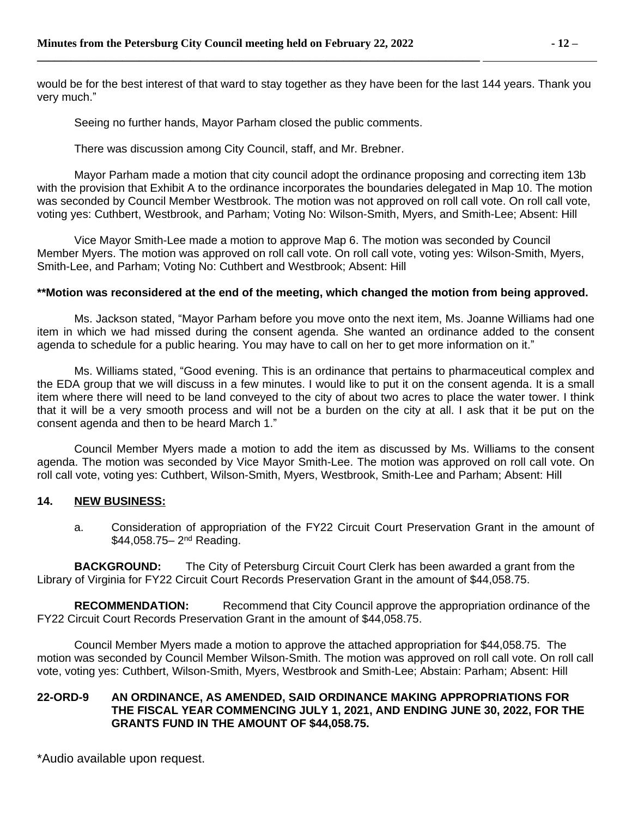would be for the best interest of that ward to stay together as they have been for the last 144 years. Thank you very much."

Seeing no further hands, Mayor Parham closed the public comments.

**\_\_\_\_\_\_\_\_\_\_\_\_\_\_\_\_\_\_\_\_\_\_\_\_\_\_\_\_\_\_\_\_\_\_\_\_\_\_\_\_\_\_\_\_\_\_\_\_\_\_\_\_\_\_\_\_\_\_\_\_\_\_\_\_\_\_\_\_\_\_\_\_\_\_\_\_\_\_** 

There was discussion among City Council, staff, and Mr. Brebner.

Mayor Parham made a motion that city council adopt the ordinance proposing and correcting item 13b with the provision that Exhibit A to the ordinance incorporates the boundaries delegated in Map 10. The motion was seconded by Council Member Westbrook. The motion was not approved on roll call vote. On roll call vote, voting yes: Cuthbert, Westbrook, and Parham; Voting No: Wilson-Smith, Myers, and Smith-Lee; Absent: Hill

Vice Mayor Smith-Lee made a motion to approve Map 6. The motion was seconded by Council Member Myers. The motion was approved on roll call vote. On roll call vote, voting yes: Wilson-Smith, Myers, Smith-Lee, and Parham; Voting No: Cuthbert and Westbrook; Absent: Hill

### **\*\*Motion was reconsidered at the end of the meeting, which changed the motion from being approved.**

Ms. Jackson stated, "Mayor Parham before you move onto the next item, Ms. Joanne Williams had one item in which we had missed during the consent agenda. She wanted an ordinance added to the consent agenda to schedule for a public hearing. You may have to call on her to get more information on it."

Ms. Williams stated, "Good evening. This is an ordinance that pertains to pharmaceutical complex and the EDA group that we will discuss in a few minutes. I would like to put it on the consent agenda. It is a small item where there will need to be land conveyed to the city of about two acres to place the water tower. I think that it will be a very smooth process and will not be a burden on the city at all. I ask that it be put on the consent agenda and then to be heard March 1."

Council Member Myers made a motion to add the item as discussed by Ms. Williams to the consent agenda. The motion was seconded by Vice Mayor Smith-Lee. The motion was approved on roll call vote. On roll call vote, voting yes: Cuthbert, Wilson-Smith, Myers, Westbrook, Smith-Lee and Parham; Absent: Hill

#### **14. NEW BUSINESS:**

a. Consideration of appropriation of the FY22 Circuit Court Preservation Grant in the amount of \$44,058.75– 2nd Reading.

**BACKGROUND:** The City of Petersburg Circuit Court Clerk has been awarded a grant from the Library of Virginia for FY22 Circuit Court Records Preservation Grant in the amount of \$44,058.75.

**RECOMMENDATION:** Recommend that City Council approve the appropriation ordinance of the FY22 Circuit Court Records Preservation Grant in the amount of \$44,058.75.

Council Member Myers made a motion to approve the attached appropriation for \$44,058.75. The motion was seconded by Council Member Wilson-Smith. The motion was approved on roll call vote. On roll call vote, voting yes: Cuthbert, Wilson-Smith, Myers, Westbrook and Smith-Lee; Abstain: Parham; Absent: Hill

### **22-ORD-9 AN ORDINANCE, AS AMENDED, SAID ORDINANCE MAKING APPROPRIATIONS FOR THE FISCAL YEAR COMMENCING JULY 1, 2021, AND ENDING JUNE 30, 2022, FOR THE GRANTS FUND IN THE AMOUNT OF \$44,058.75.**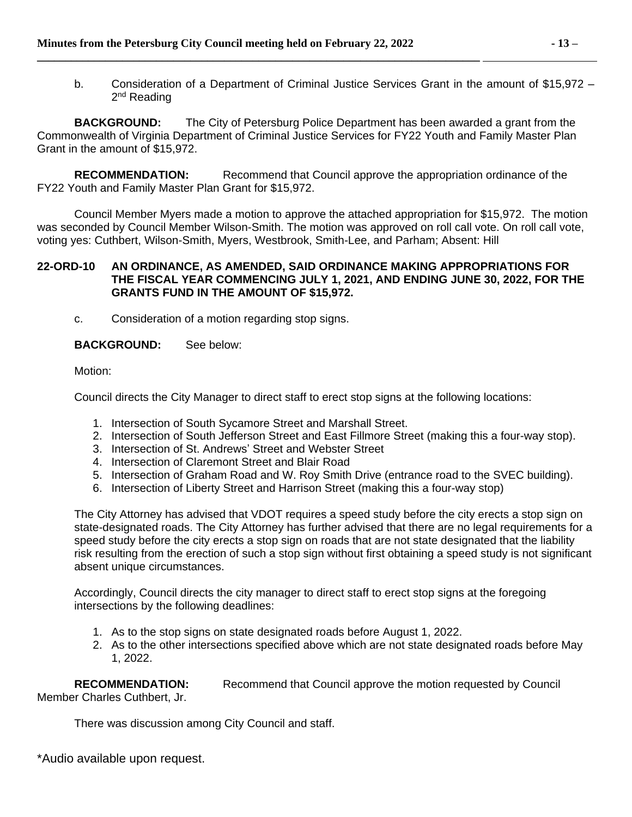b. Consideration of a Department of Criminal Justice Services Grant in the amount of \$15,972 – 2<sup>nd</sup> Reading

**BACKGROUND:** The City of Petersburg Police Department has been awarded a grant from the Commonwealth of Virginia Department of Criminal Justice Services for FY22 Youth and Family Master Plan Grant in the amount of \$15,972.

**RECOMMENDATION:** Recommend that Council approve the appropriation ordinance of the FY22 Youth and Family Master Plan Grant for \$15,972.

Council Member Myers made a motion to approve the attached appropriation for \$15,972. The motion was seconded by Council Member Wilson-Smith. The motion was approved on roll call vote. On roll call vote, voting yes: Cuthbert, Wilson-Smith, Myers, Westbrook, Smith-Lee, and Parham; Absent: Hill

### **22-ORD-10 AN ORDINANCE, AS AMENDED, SAID ORDINANCE MAKING APPROPRIATIONS FOR THE FISCAL YEAR COMMENCING JULY 1, 2021, AND ENDING JUNE 30, 2022, FOR THE GRANTS FUND IN THE AMOUNT OF \$15,972.**

c. Consideration of a motion regarding stop signs.

### **BACKGROUND:** See below:

Motion:

Council directs the City Manager to direct staff to erect stop signs at the following locations:

- 1. Intersection of South Sycamore Street and Marshall Street.
- 2. Intersection of South Jefferson Street and East Fillmore Street (making this a four-way stop).
- 3. Intersection of St. Andrews' Street and Webster Street
- 4. Intersection of Claremont Street and Blair Road
- 5. Intersection of Graham Road and W. Roy Smith Drive (entrance road to the SVEC building).
- 6. Intersection of Liberty Street and Harrison Street (making this a four-way stop)

The City Attorney has advised that VDOT requires a speed study before the city erects a stop sign on state-designated roads. The City Attorney has further advised that there are no legal requirements for a speed study before the city erects a stop sign on roads that are not state designated that the liability risk resulting from the erection of such a stop sign without first obtaining a speed study is not significant absent unique circumstances.

Accordingly, Council directs the city manager to direct staff to erect stop signs at the foregoing intersections by the following deadlines:

- 1. As to the stop signs on state designated roads before August 1, 2022.
- 2. As to the other intersections specified above which are not state designated roads before May 1, 2022.

**RECOMMENDATION:** Recommend that Council approve the motion requested by Council Member Charles Cuthbert, Jr.

There was discussion among City Council and staff.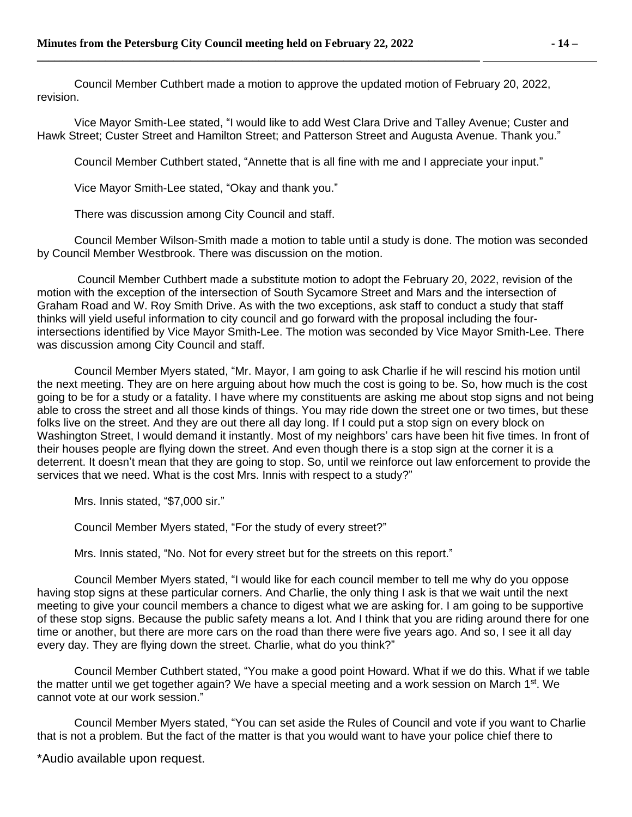Council Member Cuthbert made a motion to approve the updated motion of February 20, 2022, revision.

Vice Mayor Smith-Lee stated, "I would like to add West Clara Drive and Talley Avenue; Custer and Hawk Street; Custer Street and Hamilton Street; and Patterson Street and Augusta Avenue. Thank you."

Council Member Cuthbert stated, "Annette that is all fine with me and I appreciate your input."

Vice Mayor Smith-Lee stated, "Okay and thank you."

There was discussion among City Council and staff.

Council Member Wilson-Smith made a motion to table until a study is done. The motion was seconded by Council Member Westbrook. There was discussion on the motion.

Council Member Cuthbert made a substitute motion to adopt the February 20, 2022, revision of the motion with the exception of the intersection of South Sycamore Street and Mars and the intersection of Graham Road and W. Roy Smith Drive. As with the two exceptions, ask staff to conduct a study that staff thinks will yield useful information to city council and go forward with the proposal including the fourintersections identified by Vice Mayor Smith-Lee. The motion was seconded by Vice Mayor Smith-Lee. There was discussion among City Council and staff.

Council Member Myers stated, "Mr. Mayor, I am going to ask Charlie if he will rescind his motion until the next meeting. They are on here arguing about how much the cost is going to be. So, how much is the cost going to be for a study or a fatality. I have where my constituents are asking me about stop signs and not being able to cross the street and all those kinds of things. You may ride down the street one or two times, but these folks live on the street. And they are out there all day long. If I could put a stop sign on every block on Washington Street, I would demand it instantly. Most of my neighbors' cars have been hit five times. In front of their houses people are flying down the street. And even though there is a stop sign at the corner it is a deterrent. It doesn't mean that they are going to stop. So, until we reinforce out law enforcement to provide the services that we need. What is the cost Mrs. Innis with respect to a study?"

Mrs. Innis stated, "\$7,000 sir."

Council Member Myers stated, "For the study of every street?"

Mrs. Innis stated, "No. Not for every street but for the streets on this report."

Council Member Myers stated, "I would like for each council member to tell me why do you oppose having stop signs at these particular corners. And Charlie, the only thing I ask is that we wait until the next meeting to give your council members a chance to digest what we are asking for. I am going to be supportive of these stop signs. Because the public safety means a lot. And I think that you are riding around there for one time or another, but there are more cars on the road than there were five years ago. And so, I see it all day every day. They are flying down the street. Charlie, what do you think?"

Council Member Cuthbert stated, "You make a good point Howard. What if we do this. What if we table the matter until we get together again? We have a special meeting and a work session on March 1st. We cannot vote at our work session."

Council Member Myers stated, "You can set aside the Rules of Council and vote if you want to Charlie that is not a problem. But the fact of the matter is that you would want to have your police chief there to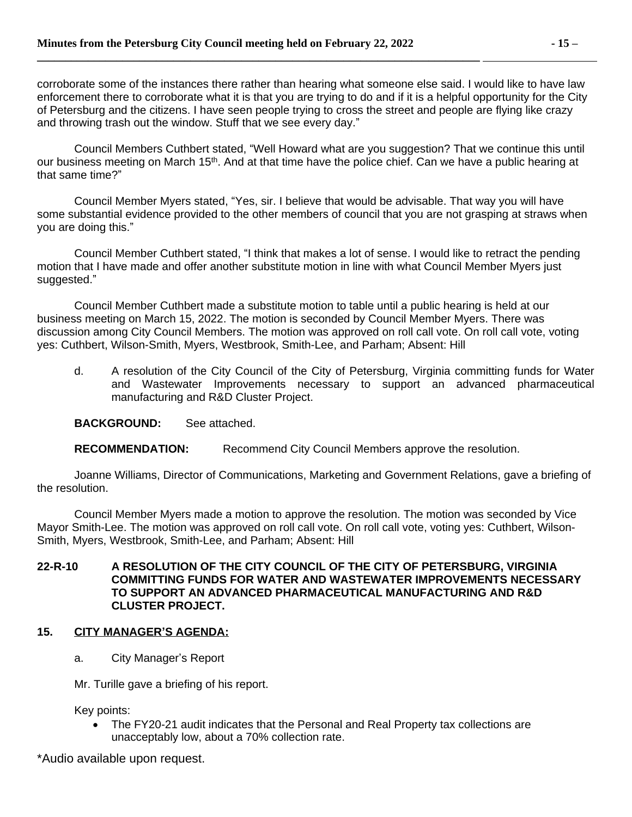corroborate some of the instances there rather than hearing what someone else said. I would like to have law enforcement there to corroborate what it is that you are trying to do and if it is a helpful opportunity for the City of Petersburg and the citizens. I have seen people trying to cross the street and people are flying like crazy and throwing trash out the window. Stuff that we see every day."

Council Members Cuthbert stated, "Well Howard what are you suggestion? That we continue this until our business meeting on March 15<sup>th</sup>. And at that time have the police chief. Can we have a public hearing at that same time?"

Council Member Myers stated, "Yes, sir. I believe that would be advisable. That way you will have some substantial evidence provided to the other members of council that you are not grasping at straws when you are doing this."

Council Member Cuthbert stated, "I think that makes a lot of sense. I would like to retract the pending motion that I have made and offer another substitute motion in line with what Council Member Myers just suggested."

Council Member Cuthbert made a substitute motion to table until a public hearing is held at our business meeting on March 15, 2022. The motion is seconded by Council Member Myers. There was discussion among City Council Members. The motion was approved on roll call vote. On roll call vote, voting yes: Cuthbert, Wilson-Smith, Myers, Westbrook, Smith-Lee, and Parham; Absent: Hill

d. A resolution of the City Council of the City of Petersburg, Virginia committing funds for Water and Wastewater Improvements necessary to support an advanced pharmaceutical manufacturing and R&D Cluster Project.

**BACKGROUND:** See attached.

**RECOMMENDATION:** Recommend City Council Members approve the resolution.

Joanne Williams, Director of Communications, Marketing and Government Relations, gave a briefing of the resolution.

Council Member Myers made a motion to approve the resolution. The motion was seconded by Vice Mayor Smith-Lee. The motion was approved on roll call vote. On roll call vote, voting yes: Cuthbert, Wilson-Smith, Myers, Westbrook, Smith-Lee, and Parham; Absent: Hill

### **22-R-10 A RESOLUTION OF THE CITY COUNCIL OF THE CITY OF PETERSBURG, VIRGINIA COMMITTING FUNDS FOR WATER AND WASTEWATER IMPROVEMENTS NECESSARY TO SUPPORT AN ADVANCED PHARMACEUTICAL MANUFACTURING AND R&D CLUSTER PROJECT.**

# **15. CITY MANAGER'S AGENDA:**

a. City Manager's Report

Mr. Turille gave a briefing of his report.

Key points:

 The FY20-21 audit indicates that the Personal and Real Property tax collections are unacceptably low, about a 70% collection rate.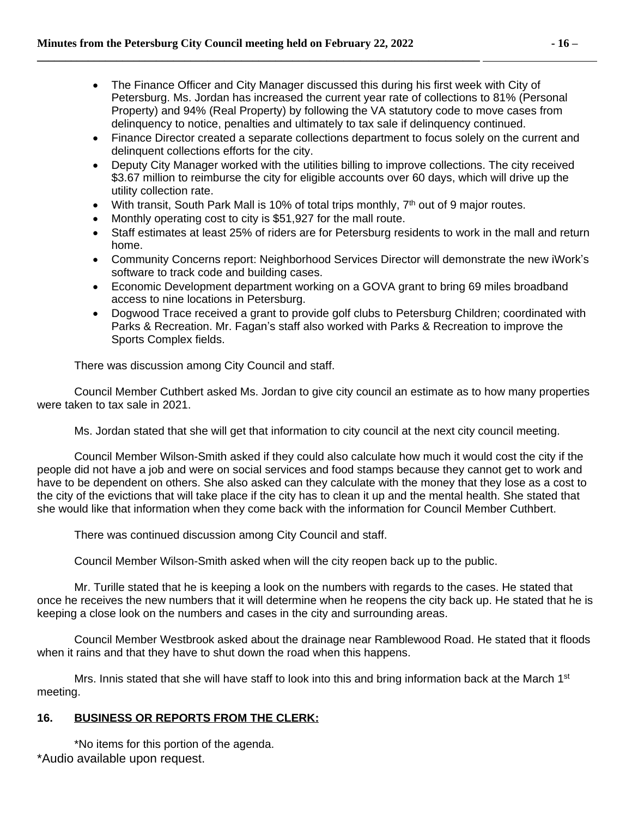- The Finance Officer and City Manager discussed this during his first week with City of Petersburg. Ms. Jordan has increased the current year rate of collections to 81% (Personal Property) and 94% (Real Property) by following the VA statutory code to move cases from delinquency to notice, penalties and ultimately to tax sale if delinquency continued.
- Finance Director created a separate collections department to focus solely on the current and delinquent collections efforts for the city.
- Deputy City Manager worked with the utilities billing to improve collections. The city received \$3.67 million to reimburse the city for eligible accounts over 60 days, which will drive up the utility collection rate.
- With transit, South Park Mall is 10% of total trips monthly,  $7<sup>th</sup>$  out of 9 major routes.
- Monthly operating cost to city is \$51,927 for the mall route.
- Staff estimates at least 25% of riders are for Petersburg residents to work in the mall and return home.
- Community Concerns report: Neighborhood Services Director will demonstrate the new iWork's software to track code and building cases.
- Economic Development department working on a GOVA grant to bring 69 miles broadband access to nine locations in Petersburg.
- Dogwood Trace received a grant to provide golf clubs to Petersburg Children; coordinated with Parks & Recreation. Mr. Fagan's staff also worked with Parks & Recreation to improve the Sports Complex fields.

There was discussion among City Council and staff.

Council Member Cuthbert asked Ms. Jordan to give city council an estimate as to how many properties were taken to tax sale in 2021.

Ms. Jordan stated that she will get that information to city council at the next city council meeting.

Council Member Wilson-Smith asked if they could also calculate how much it would cost the city if the people did not have a job and were on social services and food stamps because they cannot get to work and have to be dependent on others. She also asked can they calculate with the money that they lose as a cost to the city of the evictions that will take place if the city has to clean it up and the mental health. She stated that she would like that information when they come back with the information for Council Member Cuthbert.

There was continued discussion among City Council and staff.

Council Member Wilson-Smith asked when will the city reopen back up to the public.

Mr. Turille stated that he is keeping a look on the numbers with regards to the cases. He stated that once he receives the new numbers that it will determine when he reopens the city back up. He stated that he is keeping a close look on the numbers and cases in the city and surrounding areas.

Council Member Westbrook asked about the drainage near Ramblewood Road. He stated that it floods when it rains and that they have to shut down the road when this happens.

Mrs. Innis stated that she will have staff to look into this and bring information back at the March 1<sup>st</sup> meeting.

# **16. BUSINESS OR REPORTS FROM THE CLERK:**

\*Audio available upon request. \*No items for this portion of the agenda.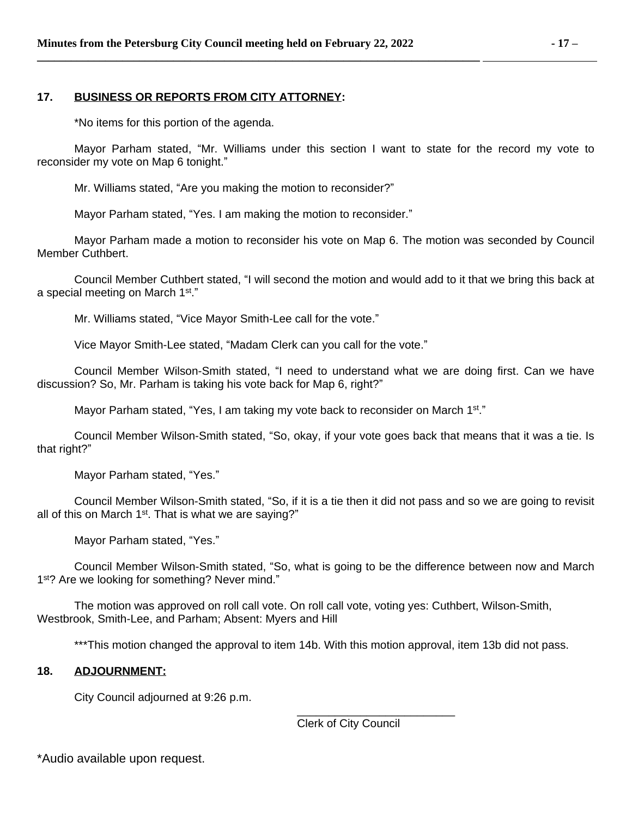### **17. BUSINESS OR REPORTS FROM CITY ATTORNEY:**

\*No items for this portion of the agenda.

Mayor Parham stated, "Mr. Williams under this section I want to state for the record my vote to reconsider my vote on Map 6 tonight."

Mr. Williams stated, "Are you making the motion to reconsider?"

Mayor Parham stated, "Yes. I am making the motion to reconsider."

Mayor Parham made a motion to reconsider his vote on Map 6. The motion was seconded by Council Member Cuthbert.

Council Member Cuthbert stated, "I will second the motion and would add to it that we bring this back at a special meeting on March 1st."

Mr. Williams stated, "Vice Mayor Smith-Lee call for the vote."

Vice Mayor Smith-Lee stated, "Madam Clerk can you call for the vote."

Council Member Wilson-Smith stated, "I need to understand what we are doing first. Can we have discussion? So, Mr. Parham is taking his vote back for Map 6, right?"

Mayor Parham stated, "Yes, I am taking my vote back to reconsider on March 1<sup>st</sup>."

Council Member Wilson-Smith stated, "So, okay, if your vote goes back that means that it was a tie. Is that right?"

Mayor Parham stated, "Yes."

Council Member Wilson-Smith stated, "So, if it is a tie then it did not pass and so we are going to revisit all of this on March  $1<sup>st</sup>$ . That is what we are saying?"

Mayor Parham stated, "Yes."

Council Member Wilson-Smith stated, "So, what is going to be the difference between now and March 1<sup>st</sup>? Are we looking for something? Never mind."

The motion was approved on roll call vote. On roll call vote, voting yes: Cuthbert, Wilson-Smith, Westbrook, Smith-Lee, and Parham; Absent: Myers and Hill

\*\*\*This motion changed the approval to item 14b. With this motion approval, item 13b did not pass.

### **18. ADJOURNMENT:**

City Council adjourned at 9:26 p.m.

Clerk of City Council

\_\_\_\_\_\_\_\_\_\_\_\_\_\_\_\_\_\_\_\_\_\_\_\_\_